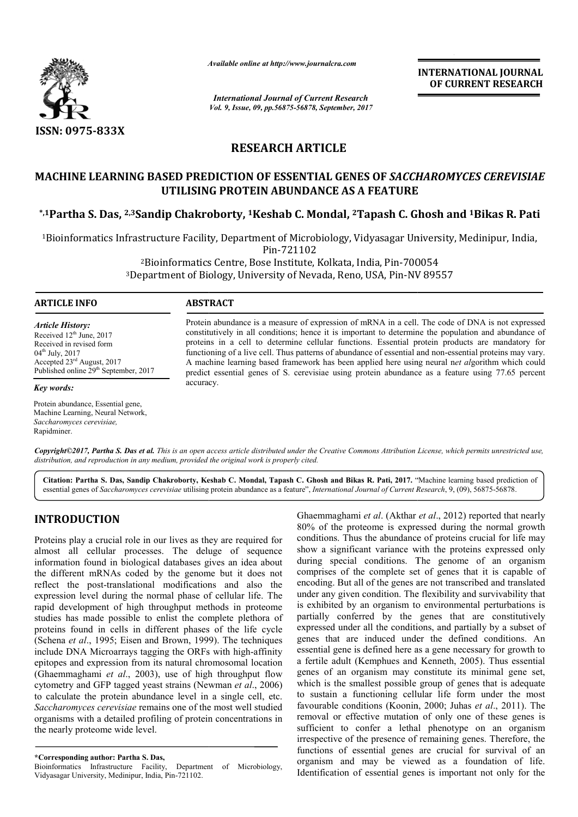

*Available online at http://www.journal http://www.journalcra.com*

*International Journal of Current Research Vol. 9, Issue, 09, pp.56875-56878, September, 2017* **INTERNATIONAL JOURNAL OF CURRENT RESEARCH** 

# **RESEARCH ARTICLE**

## **MACHINE LEARNING BASED PREDICTION OF ESSENTIAL GENES OF**  *SACCHAROMYCES CEREVISIAE* **UTILISING PROTEIN ABUNDANCE AS A FEATURE**

**\*,1Partha S. Das, 2,3Sandip Chakroborty, Sandip 1Keshab C. Mondal, 2Tapash C. Ghosh and Tapash C. 1Bikas R. Pati**

<sup>1</sup>Bioinformatics Infrastructure Facility, Department of Microbiology, Vidyasagar University, Medinipur, India,<br>Pin-721102

<sup>2</sup>Bioinformatics Centre, Bose Institute, Kolkata, India, Pin-700054 <sup>2</sup>Bioinformatics Centre, Bose Institute, Kolkata, India, Pin-700054<br><sup>3</sup>Department of Biology, University of Nevada, Reno, USA, Pin-NV 89557

### **ARTICLE INFO ABSTRACT**

*Key words:*

Rapidminer.

*Article History:* Received 12<sup>th</sup> June, 2017 Received in revised form 04<sup>th</sup> July, 2017 Accepted 23rd August, 2017 Published online 29<sup>th</sup> September, 2017

Protein abundance, Essential gene, Machine Learning, Neural Network, *Saccharomyces cerevisiae,*

Protein abundance is a measure of expression of mRNA in a cell. The code of DNA is not expressed constitutively in all conditions; hence it is important to determine the population and abundance of proteins in a cell to determine cellular functions. Essential protein products are mandatory for functioning of a live cell. Thus patterns of abundance of essential and non A machine learning based framework has been applied here using neural net algorithm which could predict essential genes of S. cerevisiae using protein abundance as a feature using 77.65 percent accuracy. Protein abundance is a measure of expression of mRNA in a cell. The code of DNA is not expressed constitutively in all conditions; hence it is important to determine the population and abundance of proteins in a cell to de

*Copyright©2017, Partha S. Das et al. This is an open access article distributed under the Creative Commons Att Attribution License, which ribution permits unrestricted use, distribution, and reproduction in any medium, provided the original work is properly cited.*

Citation: Partha S. Das, Sandip Chakroborty, Keshab C. Mondal, Tapash C. Ghosh and Bikas R. Pati, 2017. "Machine learning based prediction of essential genes of Saccharomyces cerevisiae utilising protein abundance as a feature", *International Journal of Current Research*, 9, (09), 56875-56878.

## **INTRODUCTION**

Proteins play a crucial role in our lives as they are required for almost all cellular processes. The deluge of sequence information found in biological databases gives an idea about the different mRNAs coded by the genome but it does not reflect the post-translational modifications and also the expression level during the normal phase of cellular life. The rapid development of high throughput methods in proteome studies has made possible to enlist the complete plethora of proteins found in cells in different phases of the life cycle (Schena *et al.*, 1995; Eisen and Brown, 1999). The techniques include DNA Microarrays tagging the ORFs with high high-affinity epitopes and expression from its natural chromosomal location (Ghaemmaghami *et al*., 2003), use of high throughput flow cytometry and GFP tagged yeast strains (Newman Newman *et al*., 2006) to calculate the protein abundance level in a single cell, etc. *Saccharomyces cerevisiae* remains one of the most well studied organisms with a detailed profiling of protein concentrations in the nearly proteome wide level. translational modifications and also the<br>uring the normal phase of cellular life. The<br>t of high throughput methods in proteome<br>possible to enlist the complete plethora of<br>cells in different phases of the life cycle<br>95; Eis

**\*Corresponding author: Partha S. Das,** Bioinformatics Infrastructure Facility, Department of Microbiology, Vidyasagar University, Medinipur, India, Pin-721102.

Ghaemmaghami *et al.* (Akthar<br>80% of the proteome is expre<br>as they are required for<br>conditions. Thus the abundance<br>deluge of sequence show a significant variance w<br>ses gives an idea about during special conditions. T<br>enome 80% of the proteome is expressed during the normal growth conditions. Thus the abundance of proteins crucial for life may show a significant variance with the proteins expressed only 80% of the proteome is expressed during the normal growth conditions. Thus the abundance of proteins crucial for life may show a significant variance with the proteins expressed only during special conditions. The genome o comprises of the complete set of genes that it is capable of encoding. But all of the genes are not transcribed and translated under any given condition. The flexibility and survivability that is exhibited by an organism to environmental perturbations is partially conferred by the genes that are constitutively expressed under all the conditions, and partially by a subset of genes that are induced under the defined conditions. An essential gene is defined here as a gene necessary for growth to a fertile adult (Kemphues and Kenneth, 2005 genes of an organism may constitute its minimal gene set, which is the smallest possible group of genes that is adequate to sustain a functioning cellular life form under the most genes of an organism may constitute its minimal gene set, which is the smallest possible group of genes that is adequate to sustain a functioning cellular life form under the most favourable conditions (Koonin, 2000; Juhas removal or effective mutation of only one of these genes is sufficient to confer a lethal phenotype on an organism irrespective of the presence of remaining genes. Therefore, the functions of essential genes are crucial for survival of an organism and may be viewed as a foundation of life. Identification of essential genes is important not only for the Ghaemmaghami et al. (Akthar et al., 2012) reported that nearly the complete set of genes that it is capable of all of the genes are not transcribed and translated en condition. The flexibility and survivability that y an organism to environmental perturbations is conferred by the genes that are constitutively<br>during all the conditions, and partially by a subset of<br>at are induced under the defined conditions. An<br>gene is defined here as a gene necessary for growth to<br>adult (Kemphues effective mutation of only one of these genes is<br>o confer a lethal phenotype on an organism<br>of the presence of remaining genes. Therefore, the<br>f essential genes are crucial for survival of an important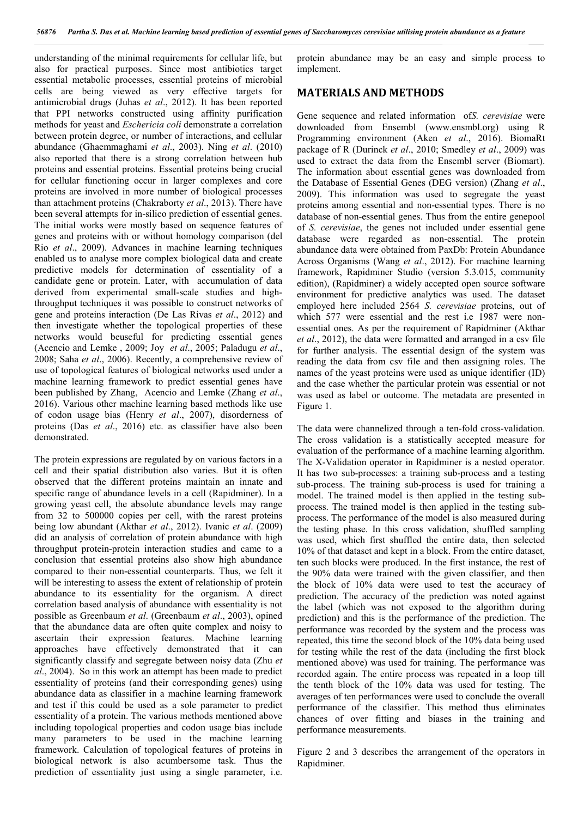understanding of the minimal requirements for cellular life, but also for practical purposes. Since most antibiotics target essential metabolic processes, essential proteins of microbial cells are being viewed as very effective targets for antimicrobial drugs (Juhas *et al*., 2012). It has been reported that PPI networks constructed using affinity purification methods for yeast and *Eschericia coli* demonstrate a correlation between protein degree, or number of interactions, and cellular abundance (Ghaemmaghami *et al*., 2003). Ning *et al*. (2010) also reported that there is a strong correlation between hub proteins and essential proteins. Essential proteins being crucial for cellular functioning occur in larger complexes and core proteins are involved in more number of biological processes than attachment proteins (Chakraborty *et al*., 2013). There have been several attempts for in-silico prediction of essential genes. The initial works were mostly based on sequence features of genes and proteins with or without homology comparison (del Rio *et al*., 2009). Advances in machine learning techniques enabled us to analyse more complex biological data and create predictive models for determination of essentiality of a candidate gene or protein. Later, with accumulation of data derived from experimental small-scale studies and highthroughput techniques it was possible to construct networks of gene and proteins interaction (De Las Rivas *et al*., 2012) and then investigate whether the topological properties of these networks would beuseful for predicting essential genes (Acencio and Lemke , 2009; Joy *et al*., 2005; Paladugu *et al*., 2008; Saha *et al*., 2006). Recently, a comprehensive review of use of topological features of biological networks used under a machine learning framework to predict essential genes have been published by Zhang, Acencio and Lemke (Zhang *et al*., 2016). Various other machine learning based methods like use of codon usage bias (Henry *et al*., 2007), disorderness of proteins (Das *et al*., 2016) etc. as classifier have also been demonstrated.

The protein expressions are regulated by on various factors in a cell and their spatial distribution also varies. But it is often observed that the different proteins maintain an innate and specific range of abundance levels in a cell (Rapidminer). In a growing yeast cell, the absolute abundance levels may range from 32 to 500000 copies per cell, with the rarest proteins being low abundant (Akthar *et al*., 2012). Ivanic *et al*. (2009) did an analysis of correlation of protein abundance with high throughput protein-protein interaction studies and came to a conclusion that essential proteins also show high abundance compared to their non-essential counterparts. Thus, we felt it will be interesting to assess the extent of relationship of protein abundance to its essentiality for the organism. A direct correlation based analysis of abundance with essentiality is not possible as Greenbaum *et al*. (Greenbaum *et al*., 2003), opined that the abundance data are often quite complex and noisy to ascertain their expression features. Machine learning approaches have effectively demonstrated that it can significantly classify and segregate between noisy data (Zhu *et al*., 2004). So in this work an attempt has been made to predict essentiality of proteins (and their corresponding genes) using abundance data as classifier in a machine learning framework and test if this could be used as a sole parameter to predict essentiality of a protein. The various methods mentioned above including topological properties and codon usage bias include many parameters to be used in the machine learning framework. Calculation of topological features of proteins in biological network is also acumbersome task. Thus the prediction of essentiality just using a single parameter, i.e.

protein abundance may be an easy and simple process to implement.

## **MATERIALS AND METHODS**

Gene sequence and related information of*S. cerevisiae* were downloaded from Ensembl (www.ensmbl.org) using R Programming environment (Aken *et al*., 2016). BiomaRt package of R (Durinck *et al*., 2010; Smedley *et al*., 2009) was used to extract the data from the Ensembl server (Biomart). The information about essential genes was downloaded from the Database of Essential Genes (DEG version) (Zhang *et al*., 2009). This information was used to segregate the yeast proteins among essential and non-essential types. There is no database of non-essential genes. Thus from the entire genepool of *S. cerevisiae*, the genes not included under essential gene database were regarded as non-essential. The protein abundance data were obtained from PaxDb: Protein Abundance Across Organisms (Wang *et al*., 2012). For machine learning framework, Rapidminer Studio (version 5.3.015, community edition), (Rapidminer) a widely accepted open source software environment for predictive analytics was used. The dataset employed here included 2564 *S. cerevisiae* proteins, out of which 577 were essential and the rest i.e 1987 were nonessential ones. As per the requirement of Rapidminer (Akthar *et al*., 2012), the data were formatted and arranged in a csv file for further analysis. The essential design of the system was reading the data from csv file and then assigning roles. The names of the yeast proteins were used as unique identifier (ID) and the case whether the particular protein was essential or not was used as label or outcome. The metadata are presented in Figure 1.

The data were channelized through a ten-fold cross-validation. The cross validation is a statistically accepted measure for evaluation of the performance of a machine learning algorithm. The X-Validation operator in Rapidminer is a nested operator. It has two sub-processes: a training sub-process and a testing sub-process. The training sub-process is used for training a model. The trained model is then applied in the testing subprocess. The trained model is then applied in the testing subprocess. The performance of the model is also measured during the testing phase. In this cross validation, shuffled sampling was used, which first shuffled the entire data, then selected 10% of that dataset and kept in a block. From the entire dataset, ten such blocks were produced. In the first instance, the rest of the 90% data were trained with the given classifier, and then the block of 10% data were used to test the accuracy of prediction. The accuracy of the prediction was noted against the label (which was not exposed to the algorithm during prediction) and this is the performance of the prediction. The performance was recorded by the system and the process was repeated, this time the second block of the 10% data being used for testing while the rest of the data (including the first block mentioned above) was used for training. The performance was recorded again. The entire process was repeated in a loop till the tenth block of the 10% data was used for testing. The averages of ten performances were used to conclude the overall performance of the classifier. This method thus eliminates chances of over fitting and biases in the training and performance measurements.

Figure 2 and 3 describes the arrangement of the operators in Rapidminer.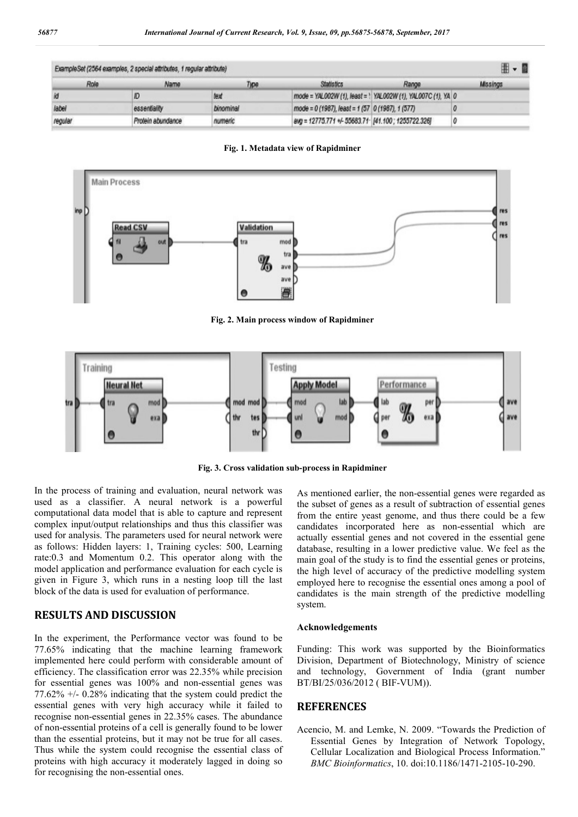| ExampleSet (2564 examples, 2 special attributes, 1 regular attribute) |                   |           |                                                    |                                                              | $\mathbb{H}$ - $\mathbb{F}$ |
|-----------------------------------------------------------------------|-------------------|-----------|----------------------------------------------------|--------------------------------------------------------------|-----------------------------|
| Role                                                                  | Name              | Type      | <b>Statistics</b>                                  | Range                                                        | Missings                    |
|                                                                       |                   | text      |                                                    | mode = YAL002W (1), least = 1 YAL002W (1), YAL007C (1), YA 0 |                             |
| label                                                                 | essentiality      | binominal | mode = 0 (1967), least = 1 (57 0 (1967), 1 (577)   |                                                              |                             |
| regular                                                               | Protein abundance | numeric   | avg = 12775.771 +/- 55683.71 [41.100] 1255722.326] |                                                              |                             |

**Fig. 1. Metadata view of Rapidminer**



**Fig. 2. Main process window of Rapidminer**



**Fig. 3. Cross validation sub-process in Rapidminer**

In the process of training and evaluation, neural network was used as a classifier. A neural network is a powerful computational data model that is able to capture and represent complex input/output relationships and thus this classifier was used for analysis. The parameters used for neural network were as follows: Hidden layers: 1, Training cycles: 500, Learning rate:0.3 and Momentum 0.2. This operator along with the model application and performance evaluation for each cycle is given in Figure 3, which runs in a nesting loop till the last block of the data is used for evaluation of performance.

## **RESULTS AND DISCUSSION**

In the experiment, the Performance vector was found to be 77.65% indicating that the machine learning framework implemented here could perform with considerable amount of efficiency. The classification error was 22.35% while precision for essential genes was 100% and non-essential genes was 77.62% +/- 0.28% indicating that the system could predict the essential genes with very high accuracy while it failed to recognise non-essential genes in 22.35% cases. The abundance of non-essential proteins of a cell is generally found to be lower than the essential proteins, but it may not be true for all cases. Thus while the system could recognise the essential class of proteins with high accuracy it moderately lagged in doing so for recognising the non-essential ones.

As mentioned earlier, the non-essential genes were regarded as the subset of genes as a result of subtraction of essential genes from the entire yeast genome, and thus there could be a few candidates incorporated here as non-essential which are actually essential genes and not covered in the essential gene database, resulting in a lower predictive value. We feel as the main goal of the study is to find the essential genes or proteins, the high level of accuracy of the predictive modelling system employed here to recognise the essential ones among a pool of candidates is the main strength of the predictive modelling system.

#### **Acknowledgements**

Funding: This work was supported by the Bioinformatics Division, Department of Biotechnology, Ministry of science and technology, Government of India (grant number BT/BI/25/036/2012 ( BIF-VUM)).

### **REFERENCES**

Acencio, M. and Lemke, N. 2009. "Towards the Prediction of Essential Genes by Integration of Network Topology, Cellular Localization and Biological Process Information." *BMC Bioinformatics*, 10. doi:10.1186/1471-2105-10-290.